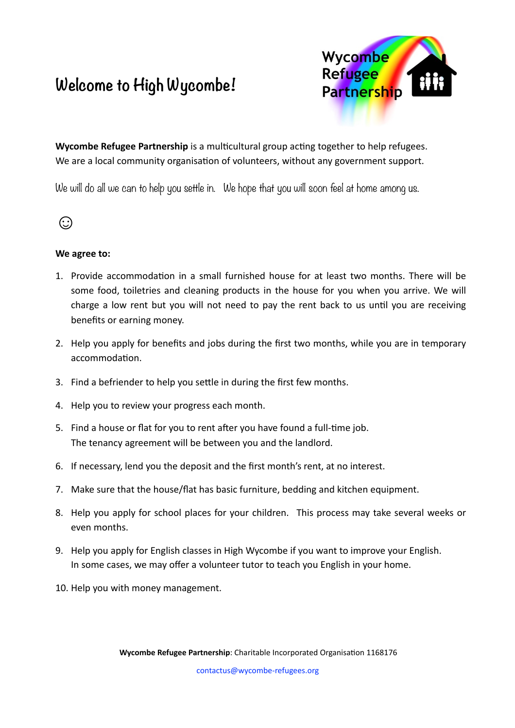## **Welcome to High Wycombe!**



**Wycombe Refugee Partnership** is a multicultural group acting together to help refugees. We are a local community organisation of volunteers, without any government support.

We will do all we can to help you settle in. We hope that you will soon feel at home among us.



## **We agree to:**

- 1. Provide accommodation in a small furnished house for at least two months. There will be some food, toiletries and cleaning products in the house for you when you arrive. We will charge a low rent but you will not need to pay the rent back to us until you are receiving benefits or earning money.
- 2. Help you apply for benefits and jobs during the first two months, while you are in temporary accommodation.
- 3. Find a befriender to help you settle in during the first few months.
- 4. Help you to review your progress each month.
- 5. Find a house or flat for you to rent after you have found a full-time job. The tenancy agreement will be between you and the landlord.
- 6. If necessary, lend you the deposit and the first month's rent, at no interest.
- 7. Make sure that the house/flat has basic furniture, bedding and kitchen equipment.
- 8. Help you apply for school places for your children. This process may take several weeks or even months.
- 9. Help you apply for English classes in High Wycombe if you want to improve your English. In some cases, we may offer a volunteer tutor to teach you English in your home.
- 10. Help you with money management.